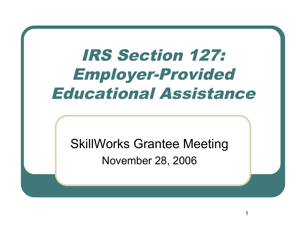# IRS Section 127: Employer-Provided Educational Assistance

SkillWorks Grantee Meeting November 28, 2006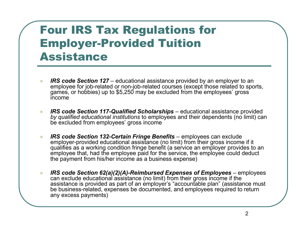#### Four IRS Tax Regulations for Employer-Provided Tuition Assistance

- *IRS code Section 127* educational assistance provided by an employer to an employee for job-related or non-job-related courses (except those related to sports, games, or hobbies) up to \$5,250 may be excluded from the employees' gross income
- *IRS code Section 117-Qualified Scholarships* educational assistance provided *by qualified educational institutions* to employees and their dependents (no limit) can be excluded from employees' gross income
- *IRS code Section 132-Certain Fringe Benefits* employees can exclude employer-provided educational assistance (no limit) from their gross income if it qualifies as a working condition fringe benefit (a service an employer provides to an employee that, had the employee paid for the service, the employee could deduct the payment from his/her income as a business expense)
- *IRS code Section 62(a)(2)(A)-Reimbursed Expenses of Employees* employees can exclude educational assistance (no limit) from their gross income if the assistance is provided as part of an employer's "accountable plan" (assistance must be business-related, expenses be documented, and employees required to return any excess payments)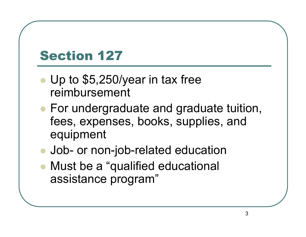# Section 127

- Up to \$5,250/year in tax free reimbursement
- For undergraduate and graduate tuition, fees, expenses, books, supplies, and equipment
- Job- or non-job-related education
- Must be a "qualified educational assistance program"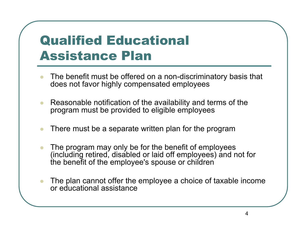#### Qualified Educational Assistance Plan

- The benefit must be offered on a non-discriminatory basis that does not favor highly compensated employees
- Reasonable notification of the availability and terms of the program must be provided to eligible employees
- There must be a separate written plan for the program
- The program may only be for the benefit of employees (including retired, disabled or laid off employees) and not for the benefit of the employee's spouse or children
- The plan cannot offer the employee a choice of taxable income or educational assistance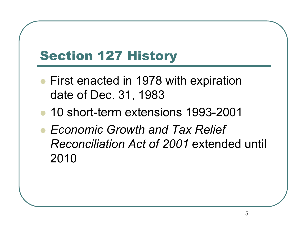# Section 127 History

- First enacted in 1978 with expiration date of Dec. 31, 1983
- 10 short-term extensions 1993-2001
- *Economic Growth and Tax Relief Reconciliation Act of 2001* extended until 2010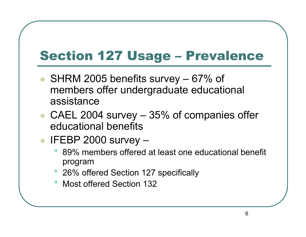# Section 127 Usage – Prevalence

- SHRM 2005 benefits survey 67% of members offer undergraduate educational assistance
- CAEL 2004 survey 35% of companies offer educational benefits
- IFEBP 2000 survey
	- 89% members offered at least one educational benefit program
	- 26% offered Section 127 specifically
	- Most offered Section <sup>132</sup>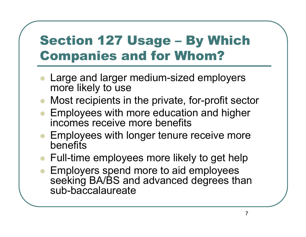# Section 127 Usage – By Which Companies and for Whom?

- Large and larger medium-sized employers more likely to use
- Most recipients in the private, for-profit sector
- Employees with more education and higher incomes receive more benefits
- Employees with longer tenure receive more **benefits**
- Full-time employees more likely to get help
- Employers spend more to aid employees seeking BA/BS and advanced degrees than sub-baccalaureate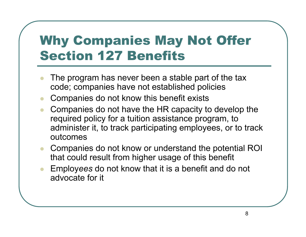### Why Companies May Not Offer Section 127 Benefits

- The program has never been a stable part of the tax code; companies have not established policies
- Companies do not know this benefit exists
- Companies do not have the HR capacity to develop the required policy for a tuition assistance program, to administer it, to track participating employees, or to track outcomes
- Companies do not know or understand the potential ROI that could result from higher usage of this benefit
- Employ*ees* do not know that it is a benefit and do not advocate for it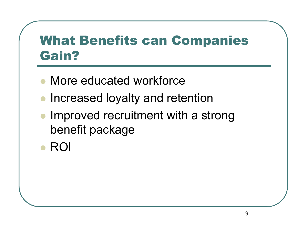#### What Benefits can Companies Gain?

- More educated workforce
- Increased loyalty and retention
- Improved recruitment with a strong benefit package
- ROI